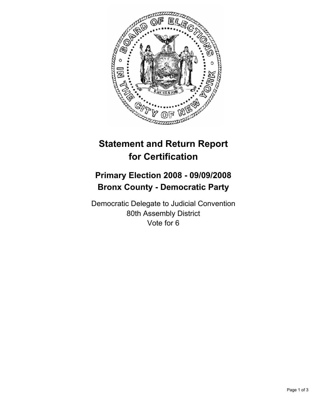

## **Statement and Return Report for Certification**

## **Primary Election 2008 - 09/09/2008 Bronx County - Democratic Party**

Democratic Delegate to Judicial Convention 80th Assembly District Vote for 6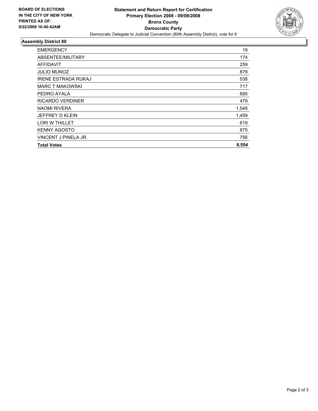

## **Assembly District 80**

| <b>EMERGENCY</b>           | 19    |
|----------------------------|-------|
| ABSENTEE/MILITARY          | 174   |
| <b>AFFIDAVIT</b>           | 259   |
| <b>JULIO MUNOZ</b>         | 878   |
| <b>IRENE ESTRADA RUKAJ</b> | 538   |
| <b>MARC T MAKOWSKI</b>     | 717   |
| PEDRO AYALA                | 685   |
| <b>RICARDO VERDINER</b>    | 479   |
| <b>NAOMI RIVERA</b>        | 1,548 |
| <b>JEFFREY D KLEIN</b>     | 1,459 |
| <b>LORI W THILLET</b>      | 619   |
| <b>KENNY AGOSTO</b>        | 875   |
| VINCENT J PINELA JR.       | 756   |
| <b>Total Votes</b>         | 8,554 |